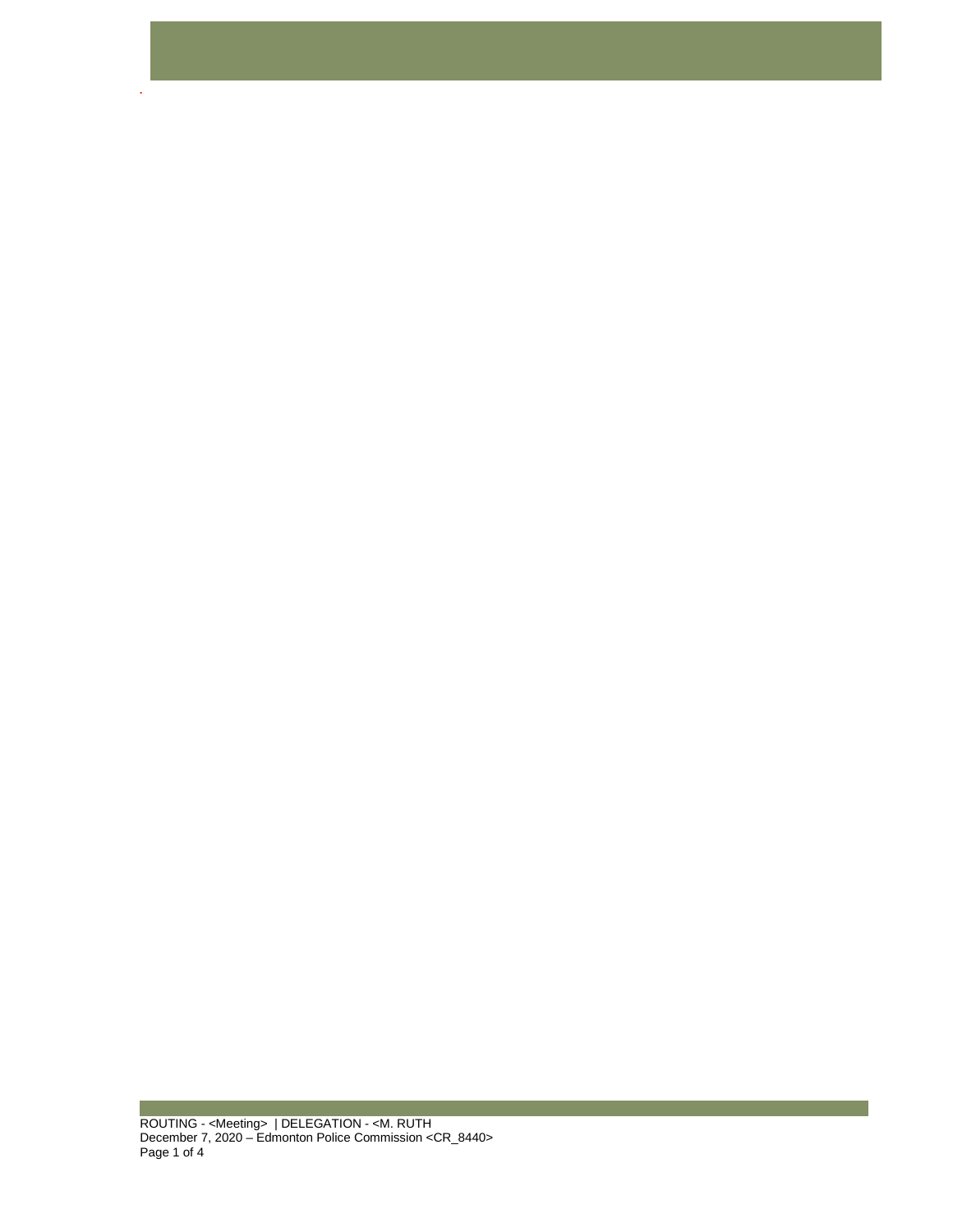.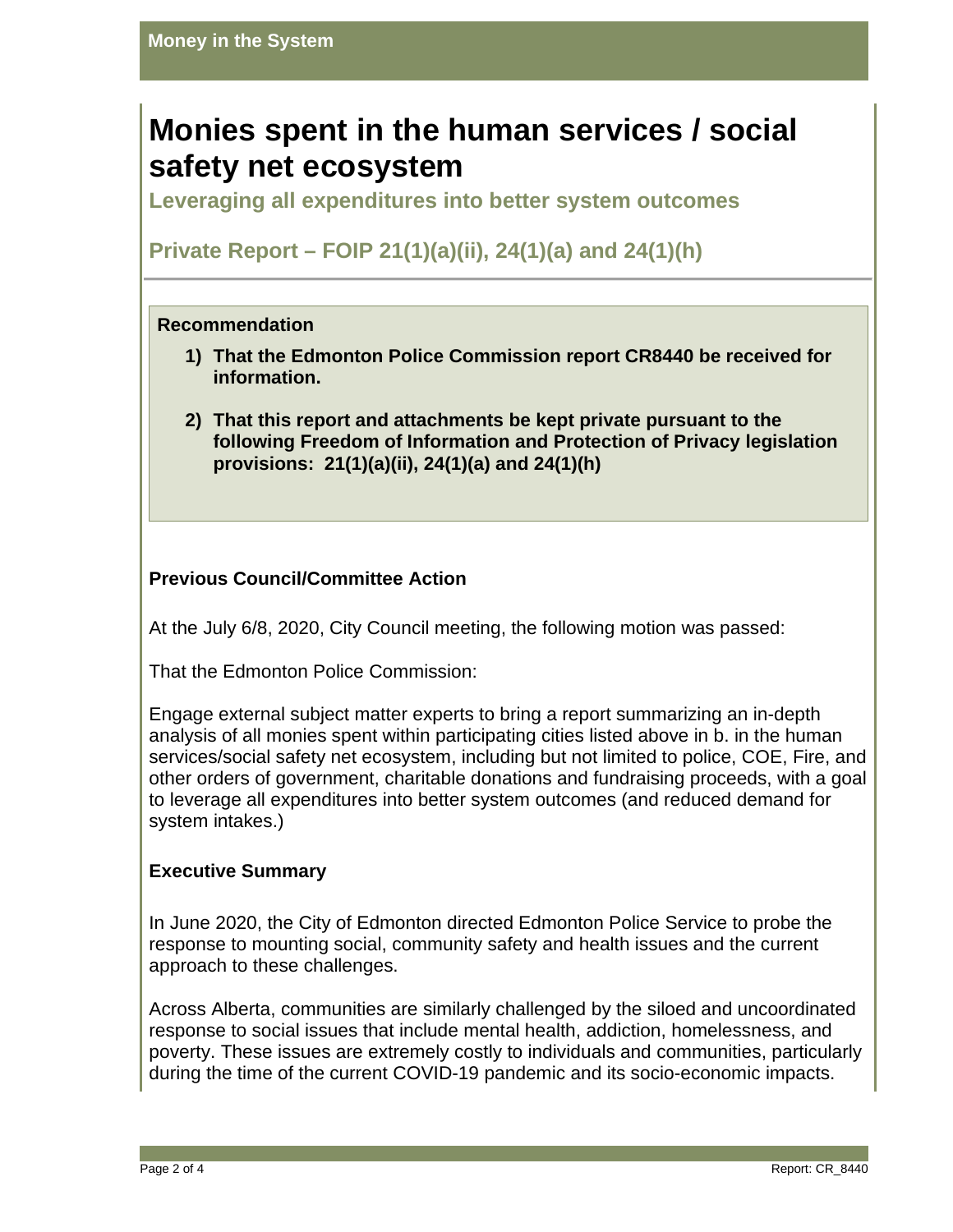# **Monies spent in the human services / social safety net ecosystem**

**Leveraging all expenditures into better system outcomes**

### **Private Report – FOIP 21(1)(a)(ii), 24(1)(a) and 24(1)(h)**

#### **Recommendation**

- **1) That the Edmonton Police Commission report CR8440 be received for information.**
- **2) That this report and attachments be kept private pursuant to the following Freedom of Information and Protection of Privacy legislation provisions: 21(1)(a)(ii), 24(1)(a) and 24(1)(h)**

#### **Previous Council/Committee Action**

At the July 6/8, 2020, City Council meeting, the following motion was passed:

That the Edmonton Police Commission:

Engage external subject matter experts to bring a report summarizing an in-depth analysis of all monies spent within participating cities listed above in b. in the human services/social safety net ecosystem, including but not limited to police, COE, Fire, and other orders of government, charitable donations and fundraising proceeds, with a goal to leverage all expenditures into better system outcomes (and reduced demand for system intakes.)

#### **Executive Summary**

In June 2020, the City of Edmonton directed Edmonton Police Service to probe the response to mounting social, community safety and health issues and the current approach to these challenges.

Across Alberta, communities are similarly challenged by the siloed and uncoordinated response to social issues that include mental health, addiction, homelessness, and poverty. These issues are extremely costly to individuals and communities, particularly during the time of the current COVID-19 pandemic and its socio-economic impacts.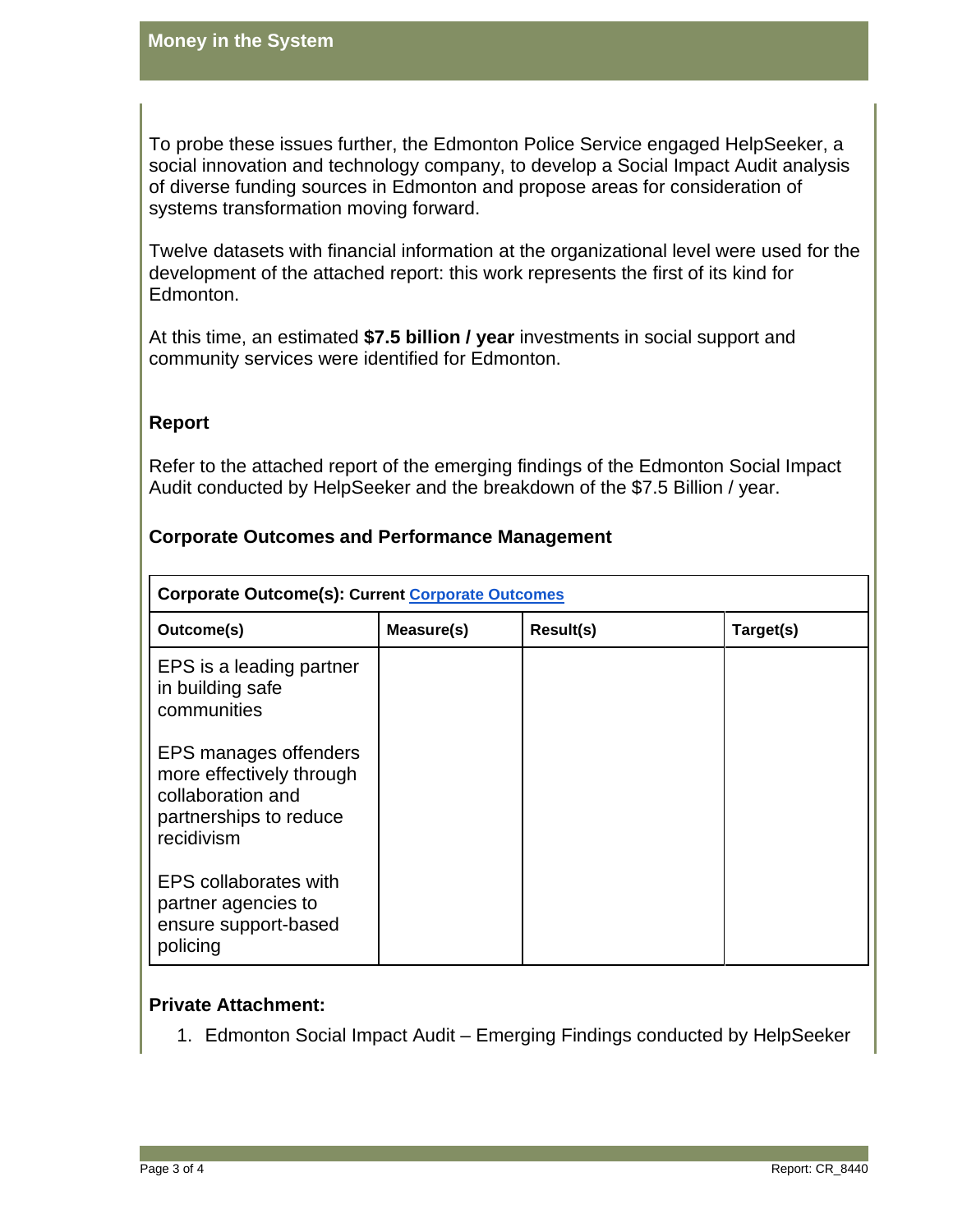To probe these issues further, the Edmonton Police Service engaged HelpSeeker, a social innovation and technology company, to develop a Social Impact Audit analysis of diverse funding sources in Edmonton and propose areas for consideration of systems transformation moving forward.

Twelve datasets with financial information at the organizational level were used for the development of the attached report: this work represents the first of its kind for Edmonton.

At this time, an estimated **\$7.5 billion / year** investments in social support and community services were identified for Edmonton.

#### **Report**

Refer to the attached report of the emerging findings of the Edmonton Social Impact Audit conducted by HelpSeeker and the breakdown of the \$7.5 Billion / year.

| <b>Corporate Outcome(s): Current Corporate Outcomes</b>                                                        |            |           |           |
|----------------------------------------------------------------------------------------------------------------|------------|-----------|-----------|
| Outcome(s)                                                                                                     | Measure(s) | Result(s) | Target(s) |
| EPS is a leading partner<br>in building safe<br>communities                                                    |            |           |           |
| EPS manages offenders<br>more effectively through<br>collaboration and<br>partnerships to reduce<br>recidivism |            |           |           |
| <b>EPS</b> collaborates with<br>partner agencies to<br>ensure support-based<br>policing                        |            |           |           |

#### **Corporate Outcomes and Performance Management**

#### **Private Attachment:**

1. Edmonton Social Impact Audit – Emerging Findings conducted by HelpSeeker